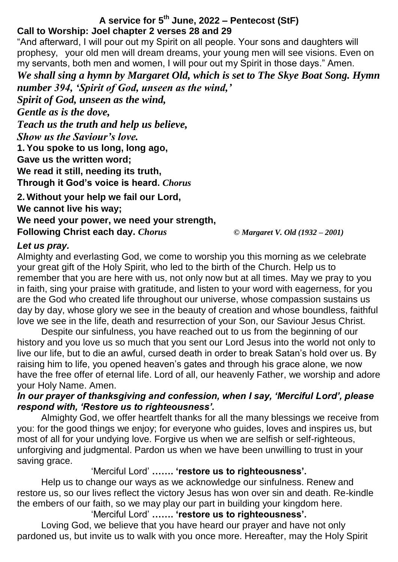## **A service for 5 th June, 2022 – Pentecost (StF) Call to Worship: Joel chapter 2 verses 28 and 29**

"And afterward, I will pour out my Spirit on all people. Your sons and daughters will prophesy, your old men will dream dreams, your young men will see visions. Even on my servants, both men and women, I will pour out my Spirit in those days." Amen.

*We shall sing a hymn by Margaret Old, which is set to The Skye Boat Song. Hymn number 394, 'Spirit of God, unseen as the wind,'*

*Spirit of God, unseen as the wind, Gentle as is the dove, Teach us the truth and help us believe, Show us the Saviour's love.* **1. You spoke to us long, long ago, Gave us the written word; We read it still, needing its truth, Through it God's voice is heard.** *Chorus*

**2. Without your help we fail our Lord, We cannot live his way; We need your power, we need your strength, Following Christ each day.** *Chorus © Margaret V. Old (1932 – 2001)*

#### *Let us pray.*

Almighty and everlasting God, we come to worship you this morning as we celebrate your great gift of the Holy Spirit, who led to the birth of the Church. Help us to remember that you are here with us, not only now but at all times. May we pray to you in faith, sing your praise with gratitude, and listen to your word with eagerness, for you are the God who created life throughout our universe, whose compassion sustains us day by day, whose glory we see in the beauty of creation and whose boundless, faithful love we see in the life, death and resurrection of your Son, our Saviour Jesus Christ.

Despite our sinfulness, you have reached out to us from the beginning of our history and you love us so much that you sent our Lord Jesus into the world not only to live our life, but to die an awful, cursed death in order to break Satan's hold over us. By raising him to life, you opened heaven's gates and through his grace alone, we now have the free offer of eternal life. Lord of all, our heavenly Father, we worship and adore your Holy Name. Amen.

## *In our prayer of thanksgiving and confession, when I say, 'Merciful Lord', please respond with, 'Restore us to righteousness'.*

Almighty God, we offer heartfelt thanks for all the many blessings we receive from you: for the good things we enjoy; for everyone who guides, loves and inspires us, but most of all for your undying love. Forgive us when we are selfish or self-righteous, unforgiving and judgmental. Pardon us when we have been unwilling to trust in your saving grace.

## 'Merciful Lord' **……. 'restore us to righteousness'.**

Help us to change our ways as we acknowledge our sinfulness. Renew and restore us, so our lives reflect the victory Jesus has won over sin and death. Re-kindle the embers of our faith, so we may play our part in building your kingdom here. 'Merciful Lord' **……. 'restore us to righteousness'.**

Loving God, we believe that you have heard our prayer and have not only pardoned us, but invite us to walk with you once more. Hereafter, may the Holy Spirit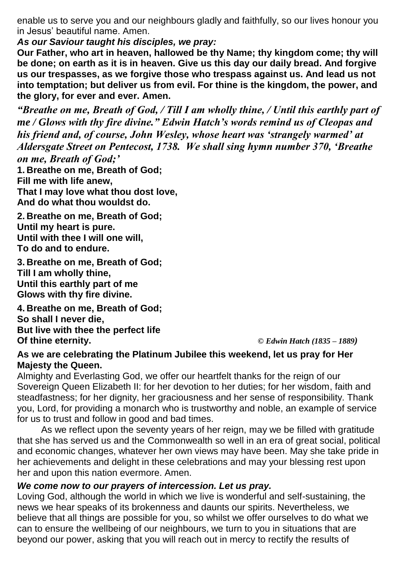enable us to serve you and our neighbours gladly and faithfully, so our lives honour you in Jesus' beautiful name. Amen.

*As our Saviour taught his disciples, we pray:*

**Our Father, who art in heaven, hallowed be thy Name; thy kingdom come; thy will be done; on earth as it is in heaven. Give us this day our daily bread. And forgive us our trespasses, as we forgive those who trespass against us. And lead us not into temptation; but deliver us from evil. For thine is the kingdom, the power, and the glory, for ever and ever. Amen.**

*"Breathe on me, Breath of God, / Till I am wholly thine, / Until this earthly part of me / Glows with thy fire divine." Edwin Hatch's words remind us of Cleopas and his friend and, of course, John Wesley, whose heart was 'strangely warmed' at Aldersgate Street on Pentecost, 1738. We shall sing hymn number 370, 'Breathe on me, Breath of God;'* 

**1. Breathe on me, Breath of God; Fill me with life anew, That I may love what thou dost love, And do what thou wouldst do.**

**2. Breathe on me, Breath of God; Until my heart is pure. Until with thee I will one will, To do and to endure.**

**3. Breathe on me, Breath of God; Till I am wholly thine, Until this earthly part of me Glows with thy fire divine.**

**4. Breathe on me, Breath of God; So shall I never die, But live with thee the perfect life Of thine eternity.** *© Edwin Hatch (1835 – 1889)*

## **As we are celebrating the Platinum Jubilee this weekend, let us pray for Her Majesty the Queen.**

Almighty and Everlasting God, we offer our heartfelt thanks for the reign of our Sovereign Queen Elizabeth II: for her devotion to her duties; for her wisdom, faith and steadfastness; for her dignity, her graciousness and her sense of responsibility. Thank you, Lord, for providing a monarch who is trustworthy and noble, an example of service for us to trust and follow in good and bad times.

As we reflect upon the seventy years of her reign, may we be filled with gratitude that she has served us and the Commonwealth so well in an era of great social, political and economic changes, whatever her own views may have been. May she take pride in her achievements and delight in these celebrations and may your blessing rest upon her and upon this nation evermore. Amen.

## *We come now to our prayers of intercession. Let us pray.*

Loving God, although the world in which we live is wonderful and self-sustaining, the news we hear speaks of its brokenness and daunts our spirits. Nevertheless, we believe that all things are possible for you, so whilst we offer ourselves to do what we can to ensure the wellbeing of our neighbours, we turn to you in situations that are beyond our power, asking that you will reach out in mercy to rectify the results of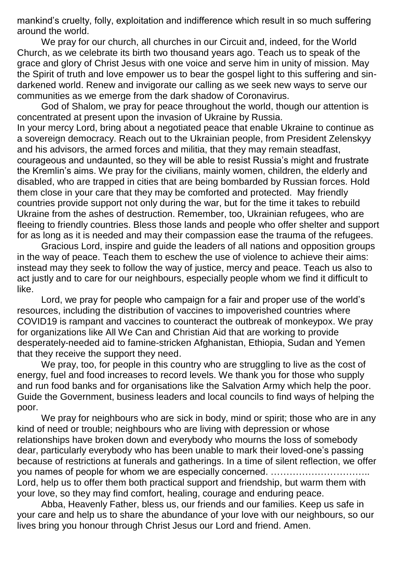mankind's cruelty, folly, exploitation and indifference which result in so much suffering around the world.

We pray for our church, all churches in our Circuit and, indeed, for the World Church, as we celebrate its birth two thousand years ago. Teach us to speak of the grace and glory of Christ Jesus with one voice and serve him in unity of mission. May the Spirit of truth and love empower us to bear the gospel light to this suffering and sindarkened world. Renew and invigorate our calling as we seek new ways to serve our communities as we emerge from the dark shadow of Coronavirus.

God of Shalom, we pray for peace throughout the world, though our attention is concentrated at present upon the invasion of Ukraine by Russia.

In your mercy Lord, bring about a negotiated peace that enable Ukraine to continue as a sovereign democracy. Reach out to the Ukrainian people, from President Zelenskyy and his advisors, the armed forces and militia, that they may remain steadfast, courageous and undaunted, so they will be able to resist Russia's might and frustrate the Kremlin's aims. We pray for the civilians, mainly women, children, the elderly and disabled, who are trapped in cities that are being bombarded by Russian forces. Hold them close in your care that they may be comforted and protected. May friendly countries provide support not only during the war, but for the time it takes to rebuild Ukraine from the ashes of destruction. Remember, too, Ukrainian refugees, who are fleeing to friendly countries. Bless those lands and people who offer shelter and support for as long as it is needed and may their compassion ease the trauma of the refugees.

Gracious Lord, inspire and guide the leaders of all nations and opposition groups in the way of peace. Teach them to eschew the use of violence to achieve their aims: instead may they seek to follow the way of justice, mercy and peace. Teach us also to act justly and to care for our neighbours, especially people whom we find it difficult to like.

Lord, we pray for people who campaign for a fair and proper use of the world's resources, including the distribution of vaccines to impoverished countries where COVID19 is rampant and vaccines to counteract the outbreak of monkeypox. We pray for organizations like All We Can and Christian Aid that are working to provide desperately-needed aid to famine-stricken Afghanistan, Ethiopia, Sudan and Yemen that they receive the support they need.

We pray, too, for people in this country who are struggling to live as the cost of energy, fuel and food increases to record levels. We thank you for those who supply and run food banks and for organisations like the Salvation Army which help the poor. Guide the Government, business leaders and local councils to find ways of helping the poor.

We pray for neighbours who are sick in body, mind or spirit; those who are in any kind of need or trouble; neighbours who are living with depression or whose relationships have broken down and everybody who mourns the loss of somebody dear, particularly everybody who has been unable to mark their loved-one's passing because of restrictions at funerals and gatherings. In a time of silent reflection, we offer you names of people for whom we are especially concerned. ………………………….. Lord, help us to offer them both practical support and friendship, but warm them with your love, so they may find comfort, healing, courage and enduring peace.

Abba, Heavenly Father, bless us, our friends and our families. Keep us safe in your care and help us to share the abundance of your love with our neighbours, so our lives bring you honour through Christ Jesus our Lord and friend. Amen.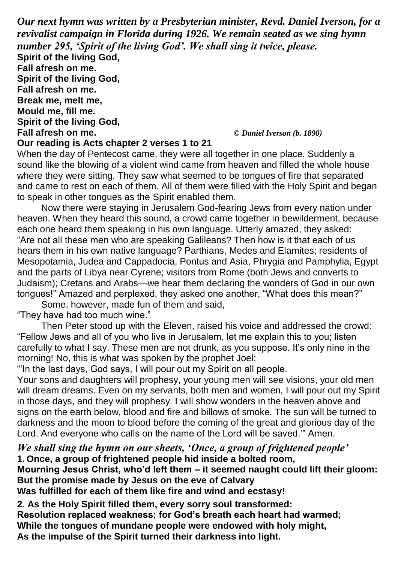*Our next hymn was written by a Presbyterian minister, Revd. Daniel Iverson, for a revivalist campaign in Florida during 1926. We remain seated as we sing hymn number 295, 'Spirit of the living God'. We shall sing it twice, please.*

**Spirit of the living God, Fall afresh on me. Spirit of the living God, Fall afresh on me. Break me, melt me, Mould me, fill me. Spirit of the living God,**

**Fall afresh on me.** *© Daniel Iverson (b. 1890)*

#### **Our reading is Acts chapter 2 verses 1 to 21**

When the day of Pentecost came, they were all together in one place. Suddenly a sound like the blowing of a violent wind came from heaven and filled the whole house where they were sitting. They saw what seemed to be tongues of fire that separated and came to rest on each of them. All of them were filled with the Holy Spirit and began to speak in other tongues as the Spirit enabled them.

Now there were staying in Jerusalem God-fearing Jews from every nation under heaven. When they heard this sound, a crowd came together in bewilderment, because each one heard them speaking in his own language. Utterly amazed, they asked: "Are not all these men who are speaking Galileans? Then how is it that each of us hears them in his own native language? Parthians, Medes and Elamites; residents of Mesopotamia, Judea and Cappadocia, Pontus and Asia, Phrygia and Pamphylia, Egypt and the parts of Libya near Cyrene; visitors from Rome (both Jews and converts to Judaism); Cretans and Arabs—we hear them declaring the wonders of God in our own tongues!" Amazed and perplexed, they asked one another, "What does this mean?"

Some, however, made fun of them and said,

"They have had too much wine."

Then Peter stood up with the Eleven, raised his voice and addressed the crowd: "Fellow Jews and all of you who live in Jerusalem, let me explain this to you; listen carefully to what I say. These men are not drunk, as you suppose. It's only nine in the morning! No, this is what was spoken by the prophet Joel:

"'In the last days, God says, I will pour out my Spirit on all people.

Your sons and daughters will prophesy, your young men will see visions, your old men will dream dreams. Even on my servants, both men and women, I will pour out my Spirit in those days, and they will prophesy. I will show wonders in the heaven above and signs on the earth below, blood and fire and billows of smoke. The sun will be turned to darkness and the moon to blood before the coming of the great and glorious day of the Lord. And everyone who calls on the name of the Lord will be saved.'" Amen.

*We shall sing the hymn on our sheets, 'Once, a group of frightened people'*  **1. Once, a group of frightened people hid inside a bolted room,**

**Mourning Jesus Christ, who'd left them – it seemed naught could lift their gloom: But the promise made by Jesus on the eve of Calvary**

**Was fulfilled for each of them like fire and wind and ecstasy!**

**2. As the Holy Spirit filled them, every sorry soul transformed: Resolution replaced weakness; for God's breath each heart had warmed; While the tongues of mundane people were endowed with holy might, As the impulse of the Spirit turned their darkness into light.**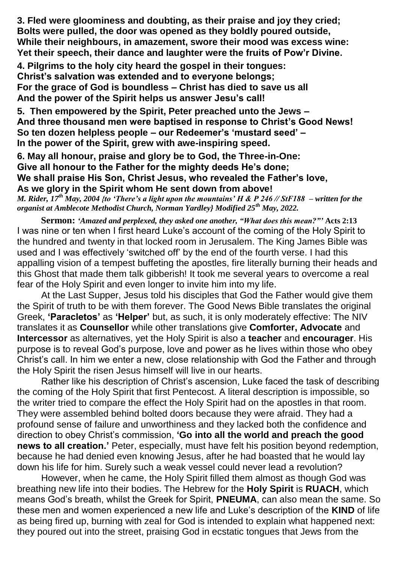**3. Fled were gloominess and doubting, as their praise and joy they cried; Bolts were pulled, the door was opened as they boldly poured outside, While their neighbours, in amazement, swore their mood was excess wine: Yet their speech, their dance and laughter were the fruits of Pow'r Divine.** 

**4. Pilgrims to the holy city heard the gospel in their tongues: Christ's salvation was extended and to everyone belongs; For the grace of God is boundless – Christ has died to save us all And the power of the Spirit helps us answer Jesu's call!**

**5. Then empowered by the Spirit, Peter preached unto the Jews – And three thousand men were baptised in response to Christ's Good News! So ten dozen helpless people – our Redeemer's 'mustard seed' – In the power of the Spirit, grew with awe-inspiring speed.**

**6. May all honour, praise and glory be to God, the Three-in-One: Give all honour to the Father for the mighty deeds He's done; We shall praise His Son, Christ Jesus, who revealed the Father's love, As we glory in the Spirit whom He sent down from above!**

*M. Rider, 17th May, 2004 {to 'There's a light upon the mountains' H & P 246 // StF188 – written for the organist at Amblecote Methodist Church, Norman Yardley} Modified 25th May, 2022.*

**Sermon:** *'Amazed and perplexed, they asked one another, "What does this mean?"'* **Acts 2:13** I was nine or ten when I first heard Luke's account of the coming of the Holy Spirit to the hundred and twenty in that locked room in Jerusalem. The King James Bible was used and I was effectively 'switched off' by the end of the fourth verse. I had this appalling vision of a tempest buffeting the apostles, fire literally burning their heads and this Ghost that made them talk gibberish! It took me several years to overcome a real fear of the Holy Spirit and even longer to invite him into my life.

At the Last Supper, Jesus told his disciples that God the Father would give them the Spirit of truth to be with them forever. The Good News Bible translates the original Greek, **'Paracletos'** as **'Helper'** but, as such, it is only moderately effective: The NIV translates it as **Counsellor** while other translations give **Comforter, Advocate** and **Intercessor** as alternatives, yet the Holy Spirit is also a **teacher** and **encourager**. His purpose is to reveal God's purpose, love and power as he lives within those who obey Christ's call. In him we enter a new, close relationship with God the Father and through the Holy Spirit the risen Jesus himself will live in our hearts.

Rather like his description of Christ's ascension, Luke faced the task of describing the coming of the Holy Spirit that first Pentecost. A literal description is impossible, so the writer tried to compare the effect the Holy Spirit had on the apostles in that room. They were assembled behind bolted doors because they were afraid. They had a profound sense of failure and unworthiness and they lacked both the confidence and direction to obey Christ's commission, **'Go into all the world and preach the good news to all creation.'** Peter, especially, must have felt his position beyond redemption, because he had denied even knowing Jesus, after he had boasted that he would lay down his life for him. Surely such a weak vessel could never lead a revolution?

However, when he came, the Holy Spirit filled them almost as though God was breathing new life into their bodies. The Hebrew for the **Holy Spirit** is **RUACH**, which means God's breath, whilst the Greek for Spirit, **PNEUMA**, can also mean the same. So these men and women experienced a new life and Luke's description of the **KIND** of life as being fired up, burning with zeal for God is intended to explain what happened next: they poured out into the street, praising God in ecstatic tongues that Jews from the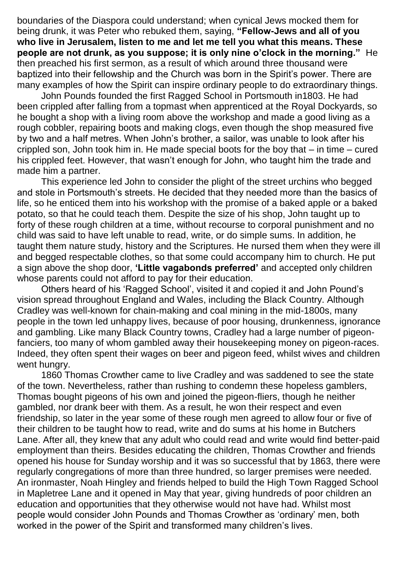boundaries of the Diaspora could understand; when cynical Jews mocked them for being drunk, it was Peter who rebuked them, saying, **"Fellow-Jews and all of you who live in Jerusalem, listen to me and let me tell you what this means. These people are not drunk, as you suppose; it is only nine o'clock in the morning."** He then preached his first sermon, as a result of which around three thousand were baptized into their fellowship and the Church was born in the Spirit's power. There are many examples of how the Spirit can inspire ordinary people to do extraordinary things.

John Pounds founded the first Ragged School in Portsmouth in1803. He had been crippled after falling from a topmast when apprenticed at the Royal Dockyards, so he bought a shop with a living room above the workshop and made a good living as a rough cobbler, repairing boots and making clogs, even though the shop measured five by two and a half metres. When John's brother, a sailor, was unable to look after his crippled son, John took him in. He made special boots for the boy that – in time – cured his crippled feet. However, that wasn't enough for John, who taught him the trade and made him a partner.

This experience led John to consider the plight of the street urchins who begged and stole in Portsmouth's streets. He decided that they needed more than the basics of life, so he enticed them into his workshop with the promise of a baked apple or a baked potato, so that he could teach them. Despite the size of his shop, John taught up to forty of these rough children at a time, without recourse to corporal punishment and no child was said to have left unable to read, write, or do simple sums. In addition, he taught them nature study, history and the Scriptures. He nursed them when they were ill and begged respectable clothes, so that some could accompany him to church. He put a sign above the shop door, **'Little vagabonds preferred'** and accepted only children whose parents could not afford to pay for their education.

Others heard of his 'Ragged School', visited it and copied it and John Pound's vision spread throughout England and Wales, including the Black Country. Although Cradley was well-known for chain-making and coal mining in the mid-1800s, many people in the town led unhappy lives, because of poor housing, drunkenness, ignorance and gambling. Like many Black Country towns, Cradley had a large number of pigeonfanciers, too many of whom gambled away their housekeeping money on pigeon-races. Indeed, they often spent their wages on beer and pigeon feed, whilst wives and children went hungry.

1860 Thomas Crowther came to live Cradley and was saddened to see the state of the town. Nevertheless, rather than rushing to condemn these hopeless gamblers, Thomas bought pigeons of his own and joined the pigeon-fliers, though he neither gambled, nor drank beer with them. As a result, he won their respect and even friendship, so later in the year some of these rough men agreed to allow four or five of their children to be taught how to read, write and do sums at his home in Butchers Lane. After all, they knew that any adult who could read and write would find better-paid employment than theirs. Besides educating the children, Thomas Crowther and friends opened his house for Sunday worship and it was so successful that by 1863, there were regularly congregations of more than three hundred, so larger premises were needed. An ironmaster, Noah Hingley and friends helped to build the High Town Ragged School in Mapletree Lane and it opened in May that year, giving hundreds of poor children an education and opportunities that they otherwise would not have had. Whilst most people would consider John Pounds and Thomas Crowther as 'ordinary' men, both worked in the power of the Spirit and transformed many children's lives.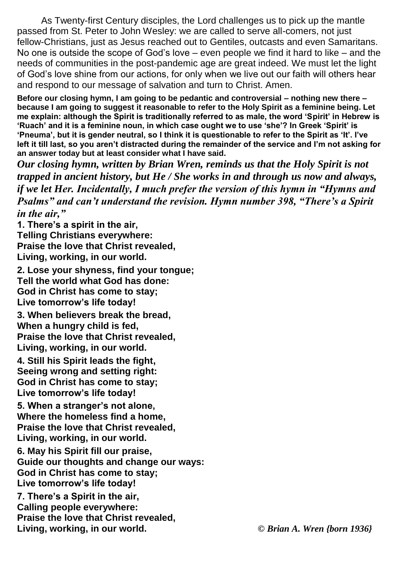As Twenty-first Century disciples, the Lord challenges us to pick up the mantle passed from St. Peter to John Wesley: we are called to serve all-comers, not just fellow-Christians, just as Jesus reached out to Gentiles, outcasts and even Samaritans. No one is outside the scope of God's love – even people we find it hard to like – and the needs of communities in the post-pandemic age are great indeed. We must let the light of God's love shine from our actions, for only when we live out our faith will others hear and respond to our message of salvation and turn to Christ. Amen.

**Before our closing hymn, I am going to be pedantic and controversial – nothing new there – because I am going to suggest it reasonable to refer to the Holy Spirit as a feminine being. Let me explain: although the Spirit is traditionally referred to as male, the word 'Spirit' in Hebrew is 'Ruach' and it is a feminine noun, in which case ought we to use 'she'? In Greek 'Spirit' is 'Pneuma', but it is gender neutral, so I think it is questionable to refer to the Spirit as 'It'. I've left it till last, so you aren't distracted during the remainder of the service and I'm not asking for an answer today but at least consider what I have said.**

*Our closing hymn, written by Brian Wren, reminds us that the Holy Spirit is not trapped in ancient history, but He / She works in and through us now and always, if we let Her. Incidentally, I much prefer the version of this hymn in "Hymns and Psalms" and can't understand the revision. Hymn number 398, "There's a Spirit in the air,"*

**1. There's a spirit in the air, Telling Christians everywhere: Praise the love that Christ revealed, Living, working, in our world.**

**2. Lose your shyness, find your tongue; Tell the world what God has done: God in Christ has come to stay; Live tomorrow's life today!**

**3. When believers break the bread, When a hungry child is fed, Praise the love that Christ revealed, Living, working, in our world.**

**4. Still his Spirit leads the fight, Seeing wrong and setting right: God in Christ has come to stay; Live tomorrow's life today!**

**5. When a stranger's not alone, Where the homeless find a home, Praise the love that Christ revealed, Living, working, in our world.**

**6. May his Spirit fill our praise, Guide our thoughts and change our ways: God in Christ has come to stay; Live tomorrow's life today!**

**7. There's a Spirit in the air, Calling people everywhere: Praise the love that Christ revealed, Living, working, in our world.** *© Brian A. Wren {born 1936}*